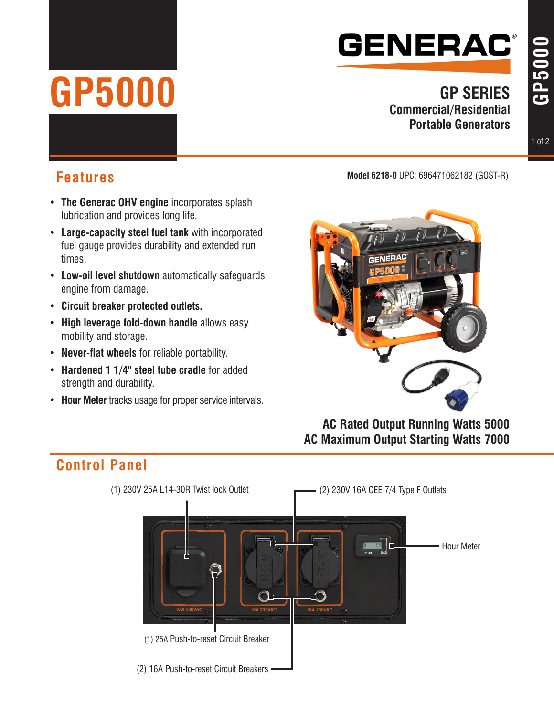## **GENERAC®**

# **GP5000**

#### **GP SERIES Commercial/Residential Portable Generators**

#### **Model 6218-0** UPC: 696471062182 (GOST-R) **Features**

- • **The Generac OHV engine** incorporates splash lubrication and provides long life.
- • **Large-capacity steel fuel tank** with incorporated fuel gauge provides durability and extended run times.
- • **Low-oil level shutdown** automatically safeguards engine from damage.
- • **Circuit breaker protected outlets.**
- • **High leverage fold-down handle** allows easy mobility and storage.
- • **Never-flat wheels** for reliable portability.
- • **Hardened 1 1/4" steel tube cradle** for added strength and durability.
- • **Hour Meter** tracks usage for proper service intervals.



**AC Rated Output Running Watts 5000 AC Maximum Output Starting Watts 7000**

### **Control Panel**